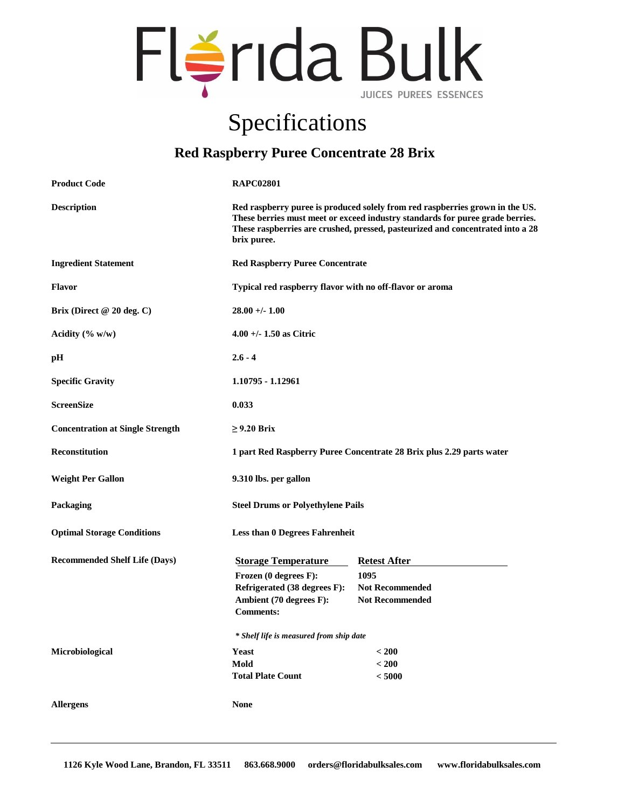

## Specifications

## **Red Raspberry Puree Concentrate 28 Brix**

| <b>Product Code</b>                     | <b>RAPC02801</b>                                                                                                                                                                                                                                               |                                                                                 |
|-----------------------------------------|----------------------------------------------------------------------------------------------------------------------------------------------------------------------------------------------------------------------------------------------------------------|---------------------------------------------------------------------------------|
| <b>Description</b>                      | Red raspberry puree is produced solely from red raspberries grown in the US.<br>These berries must meet or exceed industry standards for puree grade berries.<br>These raspberries are crushed, pressed, pasteurized and concentrated into a 28<br>brix puree. |                                                                                 |
| <b>Ingredient Statement</b>             | <b>Red Raspberry Puree Concentrate</b>                                                                                                                                                                                                                         |                                                                                 |
| Flavor                                  | Typical red raspberry flavor with no off-flavor or aroma                                                                                                                                                                                                       |                                                                                 |
| Brix (Direct $@20$ deg. C)              | $28.00 + - 1.00$                                                                                                                                                                                                                                               |                                                                                 |
| Acidity $(\% w/w)$                      | $4.00 + - 1.50$ as Citric                                                                                                                                                                                                                                      |                                                                                 |
| pН                                      | $2.6 - 4$                                                                                                                                                                                                                                                      |                                                                                 |
| <b>Specific Gravity</b>                 | 1.10795 - 1.12961                                                                                                                                                                                                                                              |                                                                                 |
| <b>ScreenSize</b>                       | 0.033                                                                                                                                                                                                                                                          |                                                                                 |
| <b>Concentration at Single Strength</b> | $\geq$ 9.20 Brix                                                                                                                                                                                                                                               |                                                                                 |
| Reconstitution                          | 1 part Red Raspberry Puree Concentrate 28 Brix plus 2.29 parts water                                                                                                                                                                                           |                                                                                 |
| <b>Weight Per Gallon</b>                | 9.310 lbs. per gallon                                                                                                                                                                                                                                          |                                                                                 |
| Packaging                               | <b>Steel Drums or Polyethylene Pails</b>                                                                                                                                                                                                                       |                                                                                 |
| <b>Optimal Storage Conditions</b>       | <b>Less than 0 Degrees Fahrenheit</b>                                                                                                                                                                                                                          |                                                                                 |
| <b>Recommended Shelf Life (Days)</b>    | <b>Storage Temperature</b><br>Frozen (0 degrees F):<br>Refrigerated (38 degrees F):<br>Ambient (70 degrees F):<br><b>Comments:</b>                                                                                                                             | <b>Retest After</b><br>1095<br><b>Not Recommended</b><br><b>Not Recommended</b> |
|                                         | * Shelf life is measured from ship date                                                                                                                                                                                                                        |                                                                                 |
| Microbiological                         | <b>Yeast</b><br>Mold<br><b>Total Plate Count</b>                                                                                                                                                                                                               | < 200<br>$200$<br>< 5000                                                        |
| <b>Allergens</b>                        | <b>None</b>                                                                                                                                                                                                                                                    |                                                                                 |